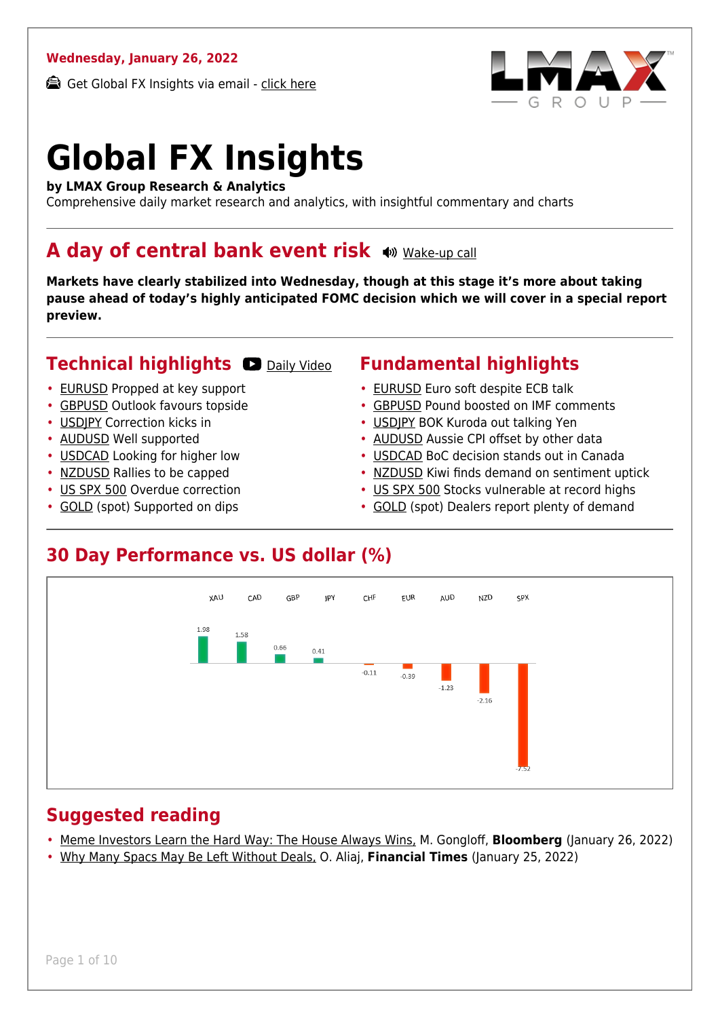#### **Wednesday, January 26, 2022**

Get Global FX Insights via email - [click here](https://www.lmax.com/blog/global-fx-insights/sign-up/?src=gfxipdf)



# **Global FX Insights**

**by LMAX Group Research & Analytics**

Comprehensive daily market research and analytics, with insightful commentary and charts

#### A day of central bank event risk  $\bullet$  **[Wake-up call](https://www.lmax.com/blog/global-fx-insights/2022/01/26/a-day-of-central-bank-event-risk/?utm_source=GlobalFXInsights-Newsletter&utm_medium=Email&utm_campaign=GlobalFXInsights&audio=play#wakeup-52513)**

**Markets have clearly stabilized into Wednesday, though at this stage it's more about taking pause ahead of today's highly anticipated FOMC decision which we will cover in a special report preview.**

#### **Technical highlights CO** [Daily Video](https://www.lmax.com/blog/global-fx-insights/2022/01/26/a-day-of-central-bank-event-risk/?utm_source=GlobalFXInsights-Newsletter&utm_medium=Email&utm_campaign=GlobalFXInsights&popup=watch#charttalk-52513)

- [EURUSD](#page-1-0) Propped at key support
- [GBPUSD](#page-2-0) Outlook favours topside
- [USDJPY](#page-3-0) Correction kicks in
- [AUDUSD](#page-4-0) Well supported
- [USDCAD](#page-5-0) Looking for higher low
- [NZDUSD](#page-6-0) Rallies to be capped
- [US SPX 500](#page-7-0) Overdue correction
- [GOLD](#page-8-0) (spot) Supported on dips

#### **Fundamental highlights**

- [EURUSD](#page-1-1) Euro soft despite ECB talk
- [GBPUSD](#page-2-1) Pound boosted on IMF comments
- [USDJPY](#page-3-1) BOK Kuroda out talking Yen
- [AUDUSD](#page-4-1) Aussie CPI offset by other data
- [USDCAD](#page-5-1) BoC decision stands out in Canada
- [NZDUSD](#page-6-1) Kiwi finds demand on sentiment uptick
- [US SPX 500](#page-7-1) Stocks vulnerable at record highs
- [GOLD](#page-8-1) (spot) Dealers report plenty of demand

#### **30 Day Performance vs. US dollar (%)**



#### **Suggested reading**

- [Meme Investors Learn the Hard Way: The House Always Wins,](https://www.lmax.com/blog/global-fx-insights/2022/01/26/a-day-of-central-bank-event-risk/?read=https://www.bloomberg.com/opinion/articles/2022-01-25/crypto-meme-investors-learn-the-house-always-wins?srnd=opinion-markets) M. Gongloff, **Bloomberg** (January 26, 2022)
- [Why Many Spacs May Be Left Without Deals,](https://www.lmax.com/blog/global-fx-insights/2022/01/26/a-day-of-central-bank-event-risk/?read=https://www.ft.com/video/164af947-8b4f-4f9e-b6de-fec8e6b568aa?playlist-name=latest&playlist-offset=0) O. Aliaj, **Financial Times** (January 25, 2022)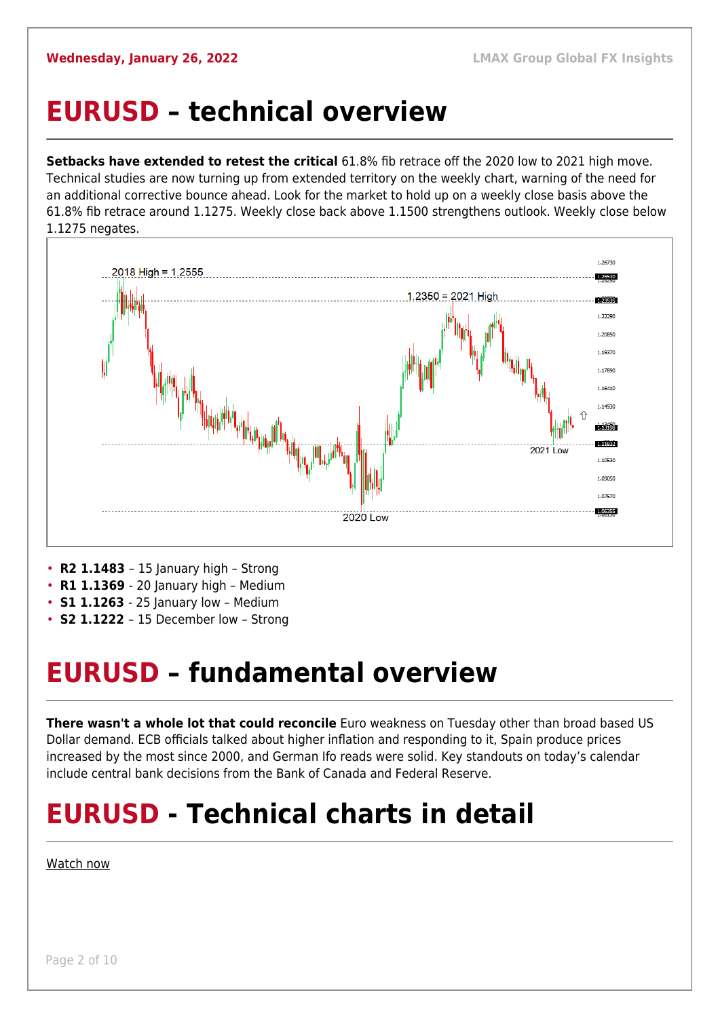#### <span id="page-1-0"></span>**EURUSD – technical overview**

**Setbacks have extended to retest the critical** 61.8% fib retrace off the 2020 low to 2021 high move. Technical studies are now turning up from extended territory on the weekly chart, warning of the need for an additional corrective bounce ahead. Look for the market to hold up on a weekly close basis above the 61.8% fib retrace around 1.1275. Weekly close back above 1.1500 strengthens outlook. Weekly close below 1.1275 negates.



- **R1 1.1369**  20 January high Medium
- **S1 1.1263**  25 January low Medium
- **S2 1.1222**  15 December low Strong

### <span id="page-1-1"></span>**EURUSD – fundamental overview**

**There wasn't a whole lot that could reconcile** Euro weakness on Tuesday other than broad based US Dollar demand. ECB officials talked about higher inflation and responding to it, Spain produce prices increased by the most since 2000, and German Ifo reads were solid. Key standouts on today's calendar include central bank decisions from the Bank of Canada and Federal Reserve.

## **EURUSD - Technical charts in detail**

#### [Watch now](https://youtu.be/P29foKX1IDw)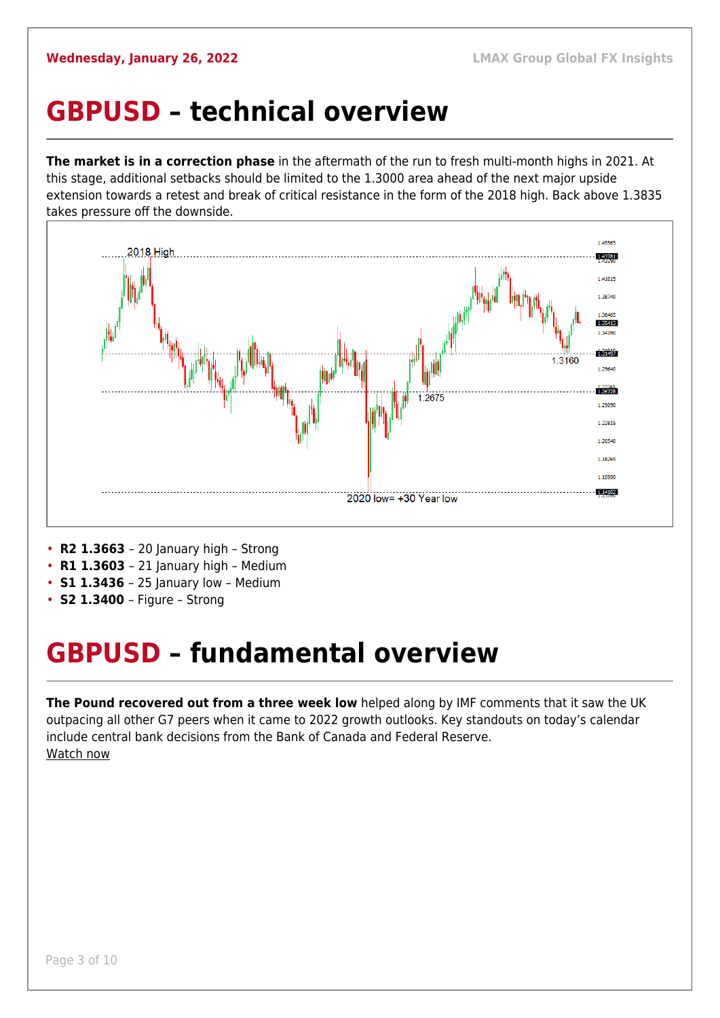#### <span id="page-2-0"></span>**GBPUSD – technical overview**

**The market is in a correction phase** in the aftermath of the run to fresh multi-month highs in 2021. At this stage, additional setbacks should be limited to the 1.3000 area ahead of the next major upside extension towards a retest and break of critical resistance in the form of the 2018 high. Back above 1.3835 takes pressure off the downside.



- **R2 1.3663**  20 January high Strong
- **R1 1.3603**  21 January high Medium
- **S1 1.3436**  25 January low Medium
- **S2 1.3400**  Figure Strong

## <span id="page-2-1"></span>**GBPUSD – fundamental overview**

**The Pound recovered out from a three week low** helped along by IMF comments that it saw the UK outpacing all other G7 peers when it came to 2022 growth outlooks. Key standouts on today's calendar include central bank decisions from the Bank of Canada and Federal Reserve. [Watch now](https://youtu.be/us4VlHNnfwY)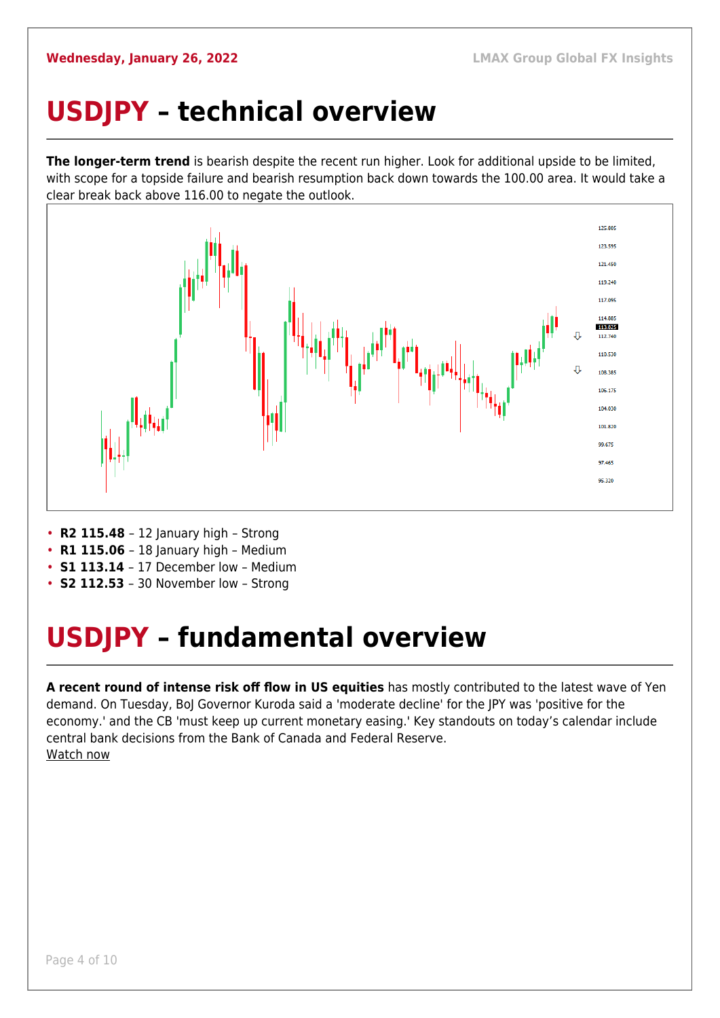## <span id="page-3-0"></span>**USDJPY – technical overview**

**The longer-term trend** is bearish despite the recent run higher. Look for additional upside to be limited, with scope for a topside failure and bearish resumption back down towards the 100.00 area. It would take a clear break back above 116.00 to negate the outlook.



- **R2 115.48**  12 January high Strong
- **R1 115.06** 18 January high Medium
- **S1 113.14**  17 December low Medium
- **S2 112.53**  30 November low Strong

## <span id="page-3-1"></span>**USDJPY – fundamental overview**

**A recent round of intense risk off flow in US equities** has mostly contributed to the latest wave of Yen demand. On Tuesday, BoJ Governor Kuroda said a 'moderate decline' for the JPY was 'positive for the economy.' and the CB 'must keep up current monetary easing.' Key standouts on today's calendar include central bank decisions from the Bank of Canada and Federal Reserve. [Watch now](https://youtu.be/mXHJx51NYz4)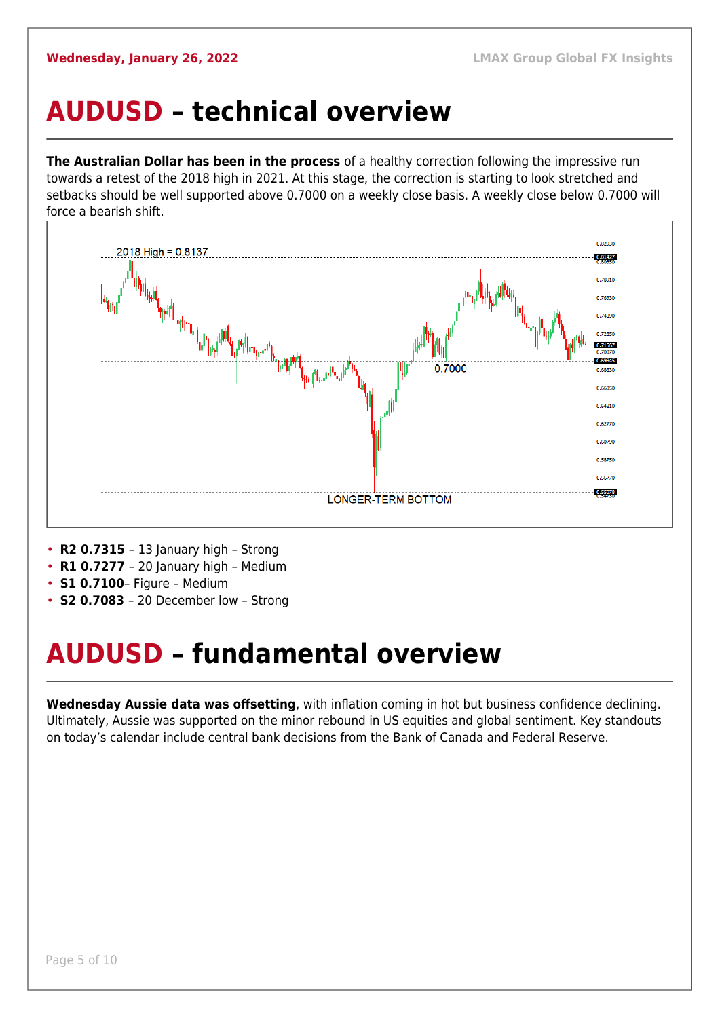#### <span id="page-4-0"></span>**AUDUSD – technical overview**

**The Australian Dollar has been in the process** of a healthy correction following the impressive run towards a retest of the 2018 high in 2021. At this stage, the correction is starting to look stretched and setbacks should be well supported above 0.7000 on a weekly close basis. A weekly close below 0.7000 will force a bearish shift.



- **R2 0.7315**  13 January high Strong
- **R1 0.7277**  20 January high Medium
- **S1 0.7100** Figure Medium
- **S2 0.7083**  20 December low Strong

## <span id="page-4-1"></span>**AUDUSD – fundamental overview**

**Wednesday Aussie data was offsetting**, with inflation coming in hot but business confidence declining. Ultimately, Aussie was supported on the minor rebound in US equities and global sentiment. Key standouts on today's calendar include central bank decisions from the Bank of Canada and Federal Reserve.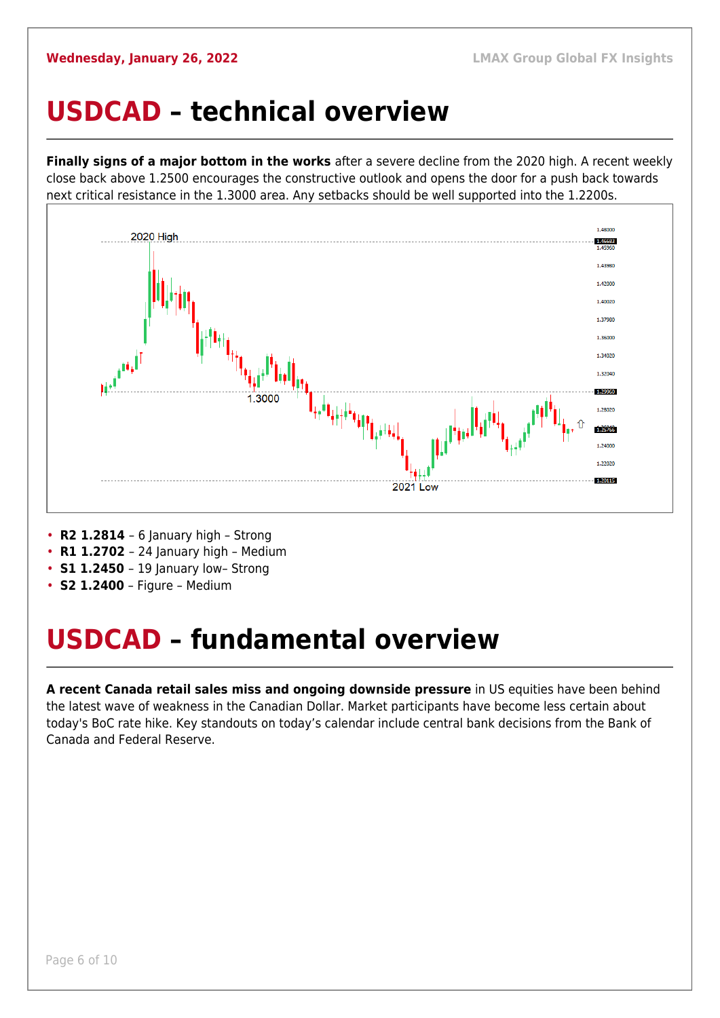#### <span id="page-5-0"></span>**USDCAD – technical overview**

**Finally signs of a major bottom in the works** after a severe decline from the 2020 high. A recent weekly close back above 1.2500 encourages the constructive outlook and opens the door for a push back towards next critical resistance in the 1.3000 area. Any setbacks should be well supported into the 1.2200s.



- **R2 1.2814**  6 January high Strong
- **R1 1.2702**  24 January high Medium
- **S1 1.2450** 19 January low- Strong
- **S2 1.2400** Figure Medium

### <span id="page-5-1"></span>**USDCAD – fundamental overview**

**A recent Canada retail sales miss and ongoing downside pressure** in US equities have been behind the latest wave of weakness in the Canadian Dollar. Market participants have become less certain about today's BoC rate hike. Key standouts on today's calendar include central bank decisions from the Bank of Canada and Federal Reserve.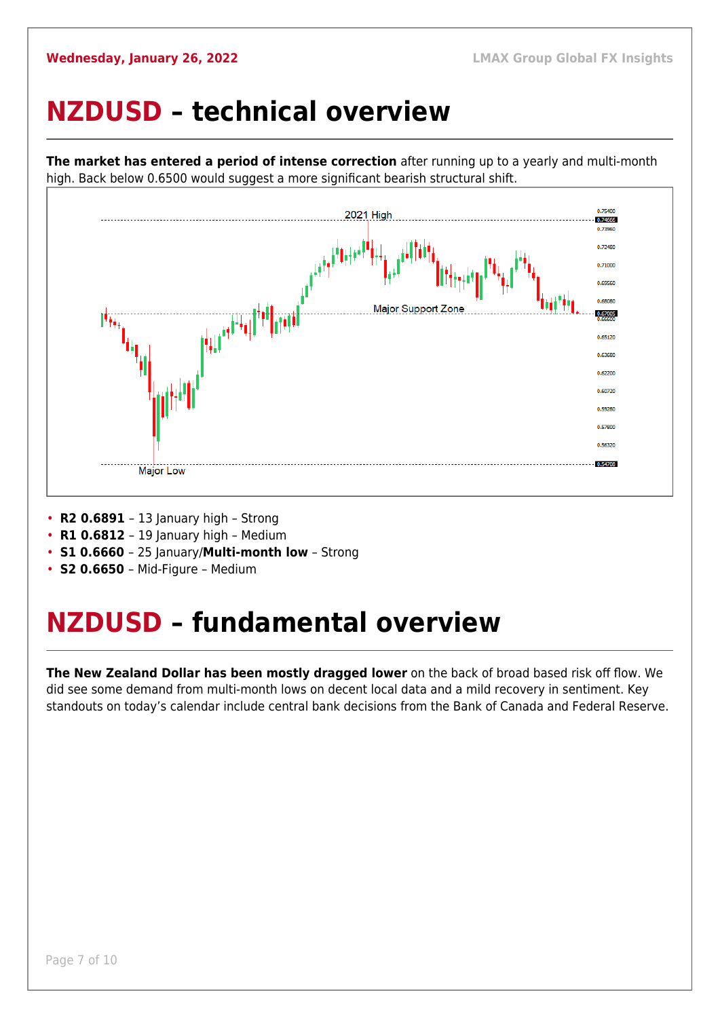#### <span id="page-6-0"></span>**NZDUSD – technical overview**



**The market has entered a period of intense correction** after running up to a yearly and multi-month high. Back below 0.6500 would suggest a more significant bearish structural shift.

- **R2 0.6891**  13 January high Strong
- **R1 0.6812**  19 January high Medium
- **S1 0.6660**  25 January/**Multi-month low** Strong
- **S2 0.6650**  Mid-Figure Medium

### <span id="page-6-1"></span>**NZDUSD – fundamental overview**

**The New Zealand Dollar has been mostly dragged lower** on the back of broad based risk off flow. We did see some demand from multi-month lows on decent local data and a mild recovery in sentiment. Key standouts on today's calendar include central bank decisions from the Bank of Canada and Federal Reserve.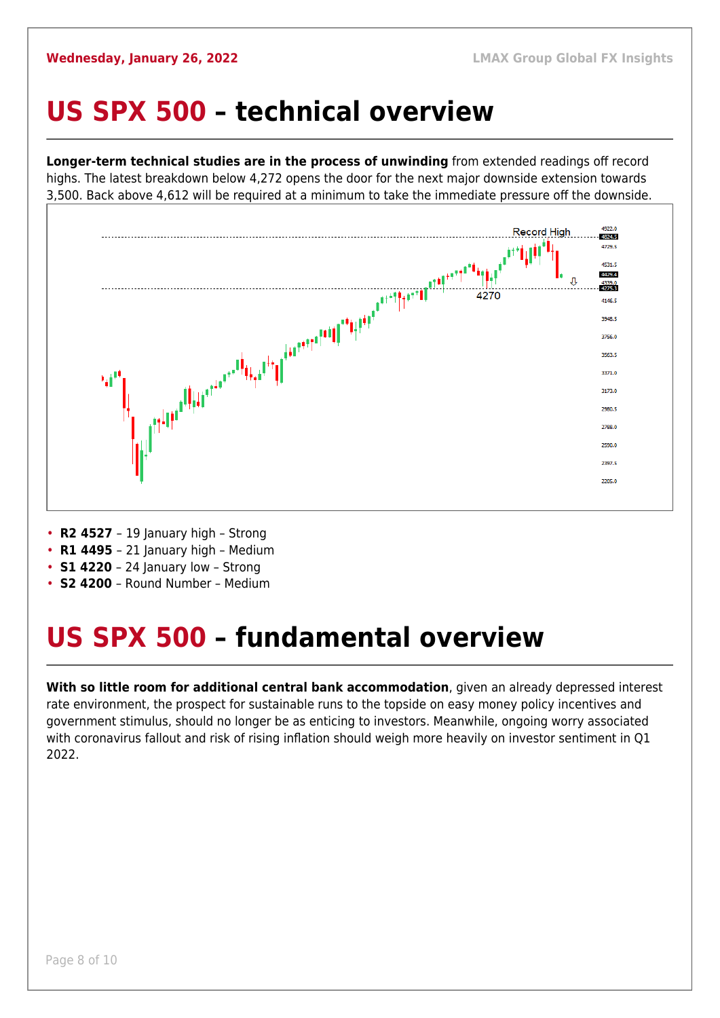### <span id="page-7-0"></span>**US SPX 500 – technical overview**

**Longer-term technical studies are in the process of unwinding** from extended readings off record highs. The latest breakdown below 4,272 opens the door for the next major downside extension towards 3,500. Back above 4,612 will be required at a minimum to take the immediate pressure off the downside.



- **R2 4527**  19 January high Strong
- **R1 4495**  21 January high Medium
- **S1 4220**  24 January low Strong
- **S2 4200**  Round Number Medium

## <span id="page-7-1"></span>**US SPX 500 – fundamental overview**

**With so little room for additional central bank accommodation**, given an already depressed interest rate environment, the prospect for sustainable runs to the topside on easy money policy incentives and government stimulus, should no longer be as enticing to investors. Meanwhile, ongoing worry associated with coronavirus fallout and risk of rising inflation should weigh more heavily on investor sentiment in Q1 2022.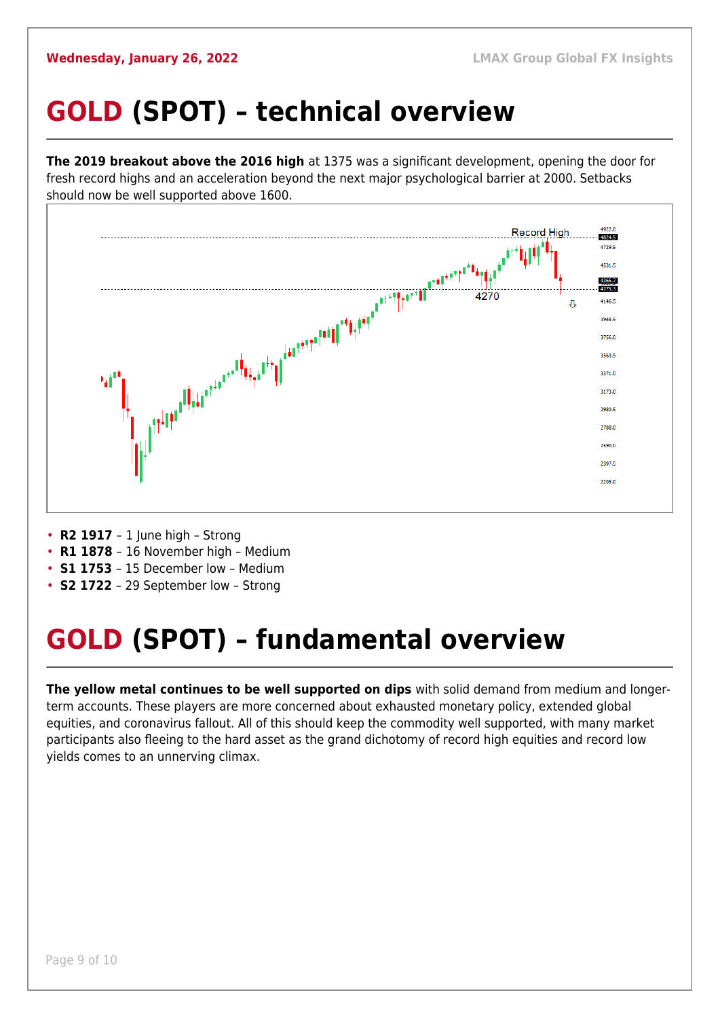## <span id="page-8-0"></span>**GOLD (SPOT) – technical overview**

**The 2019 breakout above the 2016 high** at 1375 was a significant development, opening the door for fresh record highs and an acceleration beyond the next major psychological barrier at 2000. Setbacks should now be well supported above 1600.



- **R2 1917**  1 June high Strong
- **R1 1878**  16 November high Medium
- **S1 1753**  15 December low Medium
- **S2 1722**  29 September low Strong

## <span id="page-8-1"></span>**GOLD (SPOT) – fundamental overview**

**The yellow metal continues to be well supported on dips** with solid demand from medium and longerterm accounts. These players are more concerned about exhausted monetary policy, extended global equities, and coronavirus fallout. All of this should keep the commodity well supported, with many market participants also fleeing to the hard asset as the grand dichotomy of record high equities and record low yields comes to an unnerving climax.